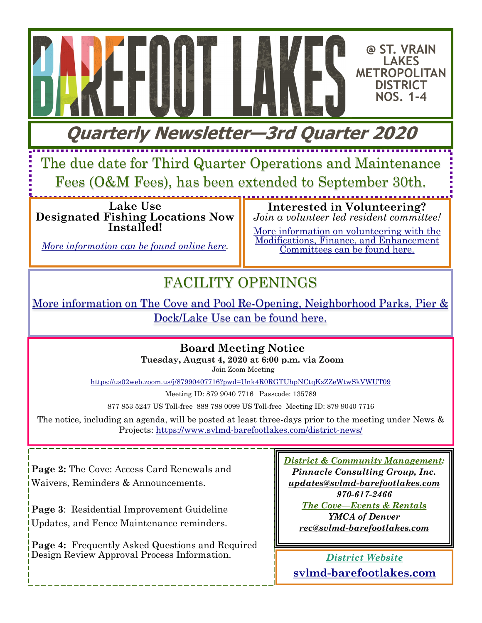**Quarterly Newsletter—3rd Quarter 2020**

The due date for Third Quarter Operations and Maintenance Fees (O&M Fees), has been extended to September 30th.

**Lake Use Designated Fishing Locations Now Installed!** 

*[More information can be found online here.](https://www.svlmd-barefootlakes.com/lakeuse/)*

**Interested in Volunteering?**  *Join a volunteer led resident committee!* 

**@ ST. VRAIN LAKES METROPOLITAN DISTRICT NOS. 1-4**

[More information on volunteering with the](https://www.svlmd-barefootlakes.com/2020/01/03/get-involved-join-a-committee/)  [Modifications, Finance, and Enhancement](https://www.svlmd-barefootlakes.com/2020/01/03/get-involved-join-a-committee/)  [Committees can be found here.](https://www.svlmd-barefootlakes.com/2020/01/03/get-involved-join-a-committee/)

# FACILITY OPENINGS

[More information on The Cove and Pool Re-Opening, Neighborhood Parks, Pier &](https://www.svlmd-barefootlakes.com/2020/06/10/facility-openings-covid19-guidelines-updates/)  [Dock/Lake Use can be found here.](https://www.svlmd-barefootlakes.com/2020/06/10/facility-openings-covid19-guidelines-updates/) 

**Board Meeting Notice**

**Tuesday, August 4, 2020 at 6:00 p.m. via Zoom** Join Zoom Meeting

<https://us02web.zoom.us/j/87990407716?pwd=Unk4R0RGTUhpNCtqKzZZeWtwSkVWUT09>

Meeting ID: 879 9040 7716 Passcode: 135789

877 853 5247 US Toll-free 888 788 0099 US Toll-free Meeting ID: 879 9040 7716

The notice, including an agenda, will be posted at least three-days prior to the meeting under News & Projects:<https://www.svlmd-barefootlakes.com/district-news/>

**Page 2:** The Cove: Access Card Renewals and Waivers, Reminders & Announcements.

**Page 3**: Residential Improvement Guideline Updates, and Fence Maintenance reminders.

**Page 4:** Frequently Asked Questions and Required Design Review Approval Process Information.

*District & Community Management: Pinnacle Consulting Group, Inc. [updates@svlmd-barefootlakes.com](mailto:updates@svlmd-barefootlakes.com) 970-617-2466 The Cove—Events & Rentals YMCA of Denver rec@svlmd-barefootlakes.com*

*District Website*  **[svlmd-barefootlakes.com](http://www.svlmd-barefootlakes.com)**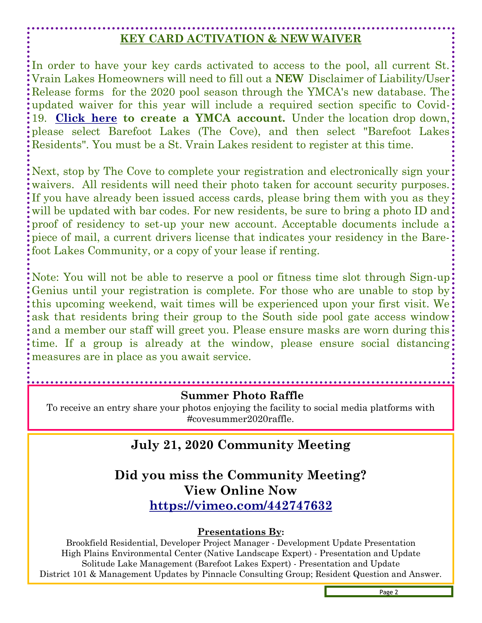## **KEY CARD ACTIVATION & NEW WAIVER**

In order to have your key cards activated to access to the pool, all current St. Vrain Lakes Homeowners will need to fill out a **NEW** Disclaimer of Liability/User Release forms for the 2020 pool season through the YMCA's new database. The updated waiver for this year will include a required section specific to Covid-19. **[Click here](https://www.denverymca.org/membership) to create a YMCA account.** Under the location drop down, please select Barefoot Lakes (The Cove), and then select "Barefoot Lakes Residents". You must be a St. Vrain Lakes resident to register at this time.

Next, stop by The Cove to complete your registration and electronically sign your: waivers. All residents will need their photo taken for account security purposes. If you have already been issued access cards, please bring them with you as they will be updated with bar codes. For new residents, be sure to bring a photo ID and: proof of residency to set-up your new account. Acceptable documents include a piece of mail, a current drivers license that indicates your residency in the Barefoot Lakes Community, or a copy of your lease if renting.

Note: You will not be able to reserve a pool or fitness time slot through Sign-up: Genius until your registration is complete. For those who are unable to stop by: this upcoming weekend, wait times will be experienced upon your first visit. We ask that residents bring their group to the South side pool gate access window and a member our staff will greet you. Please ensure masks are worn during this: time. If a group is already at the window, please ensure social distancing: measures are in place as you await service.

#### **Summer Photo Raffle**

To receive an entry share your photos enjoying the facility to social media platforms with #covesummer2020raffle.

### **July 21, 2020 Community Meeting**

### **Did you miss the Community Meeting? View Online Now <https://vimeo.com/442747632>**

#### **Presentations By:**

Brookfield Residential, Developer Project Manager - Development Update Presentation High Plains Environmental Center (Native Landscape Expert) - Presentation and Update Solitude Lake Management (Barefoot Lakes Expert) - Presentation and Update District 101 & Management Updates by Pinnacle Consulting Group; Resident Question and Answer.

Page 2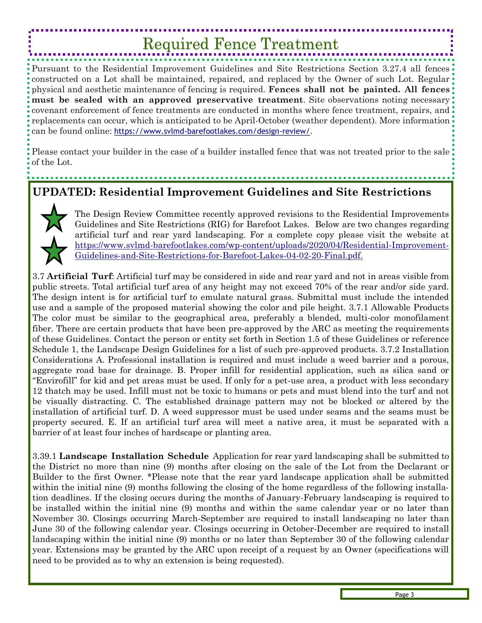# Required Fence Treatment

Pursuant to the Residential Improvement Guidelines and Site Restrictions Section 3.27.4 all fences constructed on a Lot shall be maintained, repaired, and replaced by the Owner of such Lot. Regular physical and aesthetic maintenance of fencing is required. **Fences shall not be painted. All fences must be sealed with an approved preservative treatment**. Site observations noting necessary: covenant enforcement of fence treatments are conducted in months where fence treatment, repairs, and: replacements can occur, which is anticipated to be April-October (weather dependent). More information can be found online: https://www.svlmd-[barefootlakes.com/design](https://www.svlmd-barefootlakes.com/design-review/)-review/.

Please contact your builder in the case of a builder installed fence that was not treated prior to the sale of the Lot.

### **UPDATED: Residential Improvement Guidelines and Site Restrictions**



The Design Review Committee recently approved revisions to the Residential Improvements Guidelines and Site Restrictions (RIG) for Barefoot Lakes. Below are two changes regarding artificial turf and rear yard landscaping. For a complete copy please visit the website at [https://www.svlmd-barefootlakes.com/wp-content/uploads/2020/04/Residential-Improvement-](https://www.svlmd-barefootlakes.com/wp-content/uploads/2020/04/Residential-Improvement-Guidelines-and-Site-Restrictions-for-Barefoot-Lakes-04-02-20-Final.pdf.)[Guidelines-and-Site-Restrictions-for-Barefoot-Lakes-04-02-20-Final.pdf.](https://www.svlmd-barefootlakes.com/wp-content/uploads/2020/04/Residential-Improvement-Guidelines-and-Site-Restrictions-for-Barefoot-Lakes-04-02-20-Final.pdf.)

3.7 **Artificial Turf**: Artificial turf may be considered in side and rear yard and not in areas visible from public streets. Total artificial turf area of any height may not exceed 70% of the rear and/or side yard. The design intent is for artificial turf to emulate natural grass. Submittal must include the intended use and a sample of the proposed material showing the color and pile height. 3.7.1 Allowable Products The color must be similar to the geographical area, preferably a blended, multi-color monofilament fiber. There are certain products that have been pre-approved by the ARC as meeting the requirements of these Guidelines. Contact the person or entity set forth in Section 1.5 of these Guidelines or reference Schedule 1, the Landscape Design Guidelines for a list of such pre-approved products. 3.7.2 Installation Considerations A. Professional installation is required and must include a weed barrier and a porous, aggregate road base for drainage. B. Proper infill for residential application, such as silica sand or "Envirofill" for kid and pet areas must be used. If only for a pet-use area, a product with less secondary 12 thatch may be used. Infill must not be toxic to humans or pets and must blend into the turf and not be visually distracting. C. The established drainage pattern may not be blocked or altered by the installation of artificial turf. D. A weed suppressor must be used under seams and the seams must be property secured. E. If an artificial turf area will meet a native area, it must be separated with a barrier of at least four inches of hardscape or planting area.

3.39.1 **Landscape Installation Schedule** Application for rear yard landscaping shall be submitted to the District no more than nine (9) months after closing on the sale of the Lot from the Declarant or Builder to the first Owner. \*Please note that the rear yard landscape application shall be submitted within the initial nine (9) months following the closing of the home regardless of the following installation deadlines. If the closing occurs during the months of January-February landscaping is required to be installed within the initial nine (9) months and within the same calendar year or no later than November 30. Closings occurring March-September are required to install landscaping no later than June 30 of the following calendar year. Closings occurring in October-December are required to install landscaping within the initial nine (9) months or no later than September 30 of the following calendar year. Extensions may be granted by the ARC upon receipt of a request by an Owner (specifications will need to be provided as to why an extension is being requested).